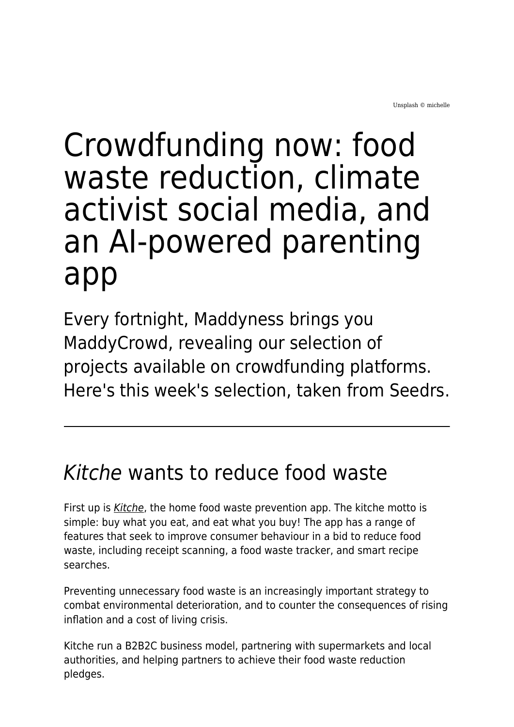## Crowdfunding now: food waste reduction, climate activist social media, and an AI-powered parenting app

Every fortnight, Maddyness brings you MaddyCrowd, revealing our selection of projects available on crowdfunding platforms. Here's this week's selection, taken from Seedrs.

## Kitche wants to reduce food waste

First up is [Kitche](https://www.seedrs.com/kitche), the home food waste prevention app. The kitche motto is simple: buy what you eat, and eat what you buy! The app has a range of features that seek to improve consumer behaviour in a bid to reduce food waste, including receipt scanning, a food waste tracker, and smart recipe searches.

Preventing unnecessary food waste is an increasingly important strategy to combat environmental deterioration, and to counter the consequences of rising inflation and a cost of living crisis.

Kitche run a B2B2C business model, partnering with supermarkets and local authorities, and helping partners to achieve their food waste reduction pledges.